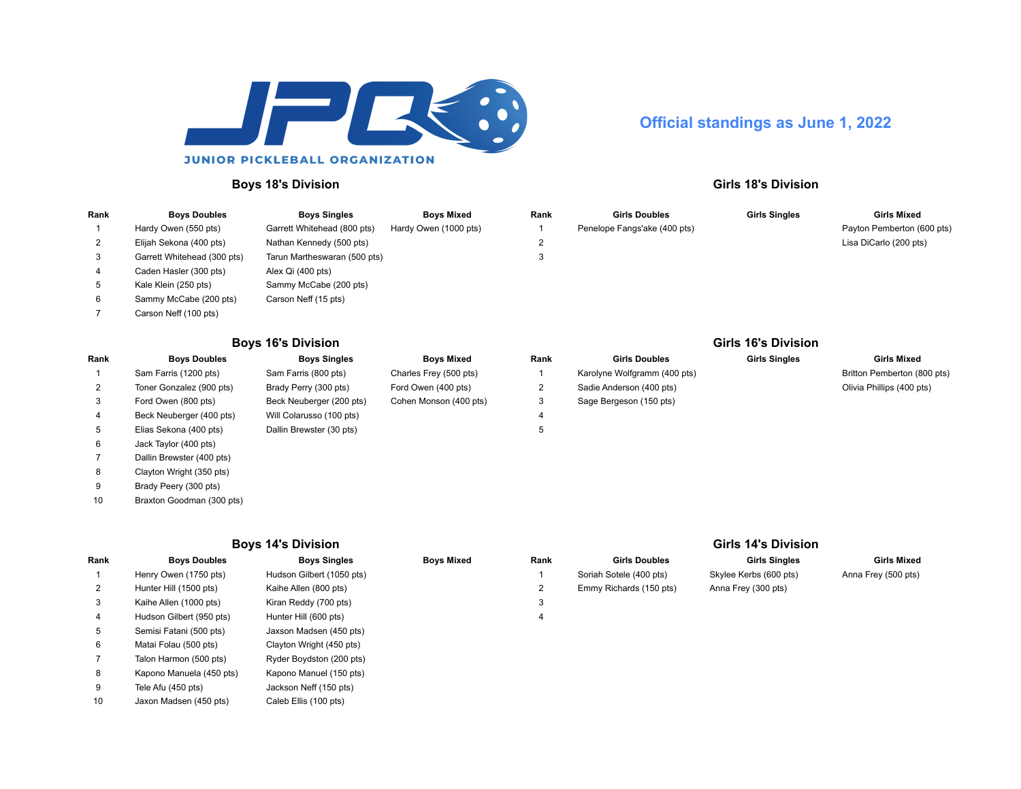

# **Official standings as June 1, 2022**

### **Boys 18's Division Girls 18's Division**

### **Rank Boys Doubles Boys Singles Boys Mixed Rank Girls Doubles Girls Singles Girls Mixed** Hardy Owen (550 pts) Garrett Whitehead (800 pts) Hardy Owen (1000 pts) 1 Penelope Fangs'ake (400 pts) Payton Pemberton (600 pts) Elijah Sekona (400 pts) Nathan Kennedy (500 pts) 2 Lisa DiCarlo (200 pts) Garrett Whitehead (300 pts) Tarun Martheswaran (500 pts) 3 Caden Hasler (300 pts) Alex Qi (400 pts) Kale Klein (250 pts) Sammy McCabe (200 pts) Sammy McCabe (200 pts) Carson Neff (15 pts) Carson Neff (100 pts)

## **Boys 16's Division Girls 16's Division**

| Rank | <b>Boys Doubles</b>       | <b>Boys Singles</b>      | Boys Mixed             | Rank | <b>Girls Doubles</b>         | <b>Girls Singles</b> | <b>Girls Mixed</b>       |
|------|---------------------------|--------------------------|------------------------|------|------------------------------|----------------------|--------------------------|
|      | Sam Farris (1200 pts)     | Sam Farris (800 pts)     | Charles Frey (500 pts) |      | Karolyne Wolfgramm (400 pts) |                      | Britton Pemberton (80    |
|      | Toner Gonzalez (900 pts)  | Brady Perry (300 pts)    | Ford Owen (400 pts)    | ∠    | Sadie Anderson (400 pts)     |                      | Olivia Phillips (400 pt: |
| 3    | Ford Owen (800 pts)       | Beck Neuberger (200 pts) | Cohen Monson (400 pts) | 3    | Sage Bergeson (150 pts)      |                      |                          |
|      | Beck Neuberger (400 pts)  | Will Colarusso (100 pts) |                        | 4    |                              |                      |                          |
| 5    | Elias Sekona (400 pts)    | Dallin Brewster (30 pts) |                        | 5    |                              |                      |                          |
| 6    | Jack Taylor (400 pts)     |                          |                        |      |                              |                      |                          |
|      | Dallin Brewster (400 pts) |                          |                        |      |                              |                      |                          |
| 8    | Clayton Wright (350 pts)  |                          |                        |      |                              |                      |                          |
|      |                           |                          |                        |      |                              |                      |                          |

# Brady Peery (300 pts)

Braxton Goodman (300 pts)

### **Boys 14's Division Girls 14's Division**

| Rank         | <b>Boys Doubles</b>      | <b>Boys Singles</b>       | <b>Boys Mixed</b> | Rank | <b>Girls Doubles</b>    | <b>Girls Singles</b>   | <b>Girls Mixed</b>  |
|--------------|--------------------------|---------------------------|-------------------|------|-------------------------|------------------------|---------------------|
|              | Henry Owen (1750 pts)    | Hudson Gilbert (1050 pts) |                   |      | Soriah Sotele (400 pts) | Skylee Kerbs (600 pts) | Anna Frey (500 pts) |
| $\mathbf{2}$ | Hunter Hill (1500 pts)   | Kaihe Allen (800 pts)     |                   | 2    | Emmy Richards (150 pts) | Anna Frey (300 pts)    |                     |
| 3            | Kaihe Allen (1000 pts)   | Kiran Reddy (700 pts)     |                   | 3    |                         |                        |                     |
|              | Hudson Gilbert (950 pts) | Hunter Hill (600 pts)     |                   | 4    |                         |                        |                     |
| 5            | Semisi Fatani (500 pts)  | Jaxson Madsen (450 pts)   |                   |      |                         |                        |                     |
| 6            | Matai Folau (500 pts)    | Clayton Wright (450 pts)  |                   |      |                         |                        |                     |
|              | Talon Harmon (500 pts)   | Ryder Boydston (200 pts)  |                   |      |                         |                        |                     |
| 8            | Kapono Manuela (450 pts) | Kapono Manuel (150 pts)   |                   |      |                         |                        |                     |
| 9            | Tele Afu (450 pts)       | Jackson Neff (150 pts)    |                   |      |                         |                        |                     |
| 10           | Jaxon Madsen (450 pts)   | Caleb Ellis (100 pts)     |                   |      |                         |                        |                     |

|              | <b>UTIS 10 S DIVISION</b>    |                      |                             |
|--------------|------------------------------|----------------------|-----------------------------|
| ank:         | <b>Girls Doubles</b>         | <b>Girls Singles</b> | <b>Girls Mixed</b>          |
| $\mathbf{1}$ | Karolyne Wolfgramm (400 pts) |                      | Britton Pemberton (800 pts) |
| 2            | Sadie Anderson (400 pts)     |                      | Olivia Phillips (400 pts)   |
| 3            | Sage Bergeson (150 pts)      |                      |                             |
| 4            |                              |                      |                             |

| ، 14's Division      |  |
|----------------------|--|
| <b>Girls Singles</b> |  |
| Kerbs (600 pts)      |  |